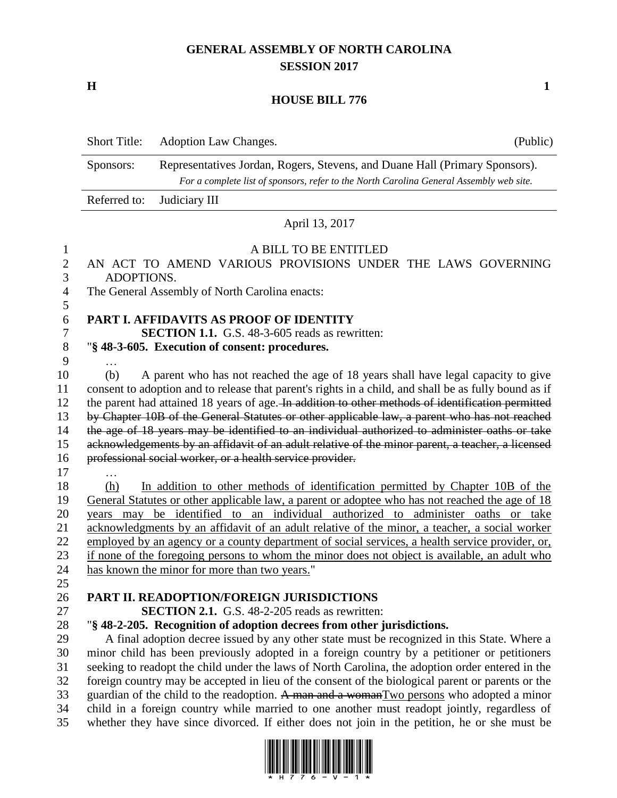## **GENERAL ASSEMBLY OF NORTH CAROLINA SESSION 2017**

**H 1**

## **HOUSE BILL 776**

|                          | <b>Short Title:</b>                                                                                                                                                                 | Adoption Law Changes.                                                                            | (Public)                                                                                              |  |  |  |  |
|--------------------------|-------------------------------------------------------------------------------------------------------------------------------------------------------------------------------------|--------------------------------------------------------------------------------------------------|-------------------------------------------------------------------------------------------------------|--|--|--|--|
|                          | Representatives Jordan, Rogers, Stevens, and Duane Hall (Primary Sponsors).<br>Sponsors:<br>For a complete list of sponsors, refer to the North Carolina General Assembly web site. |                                                                                                  |                                                                                                       |  |  |  |  |
|                          | Referred to:                                                                                                                                                                        | Judiciary III                                                                                    |                                                                                                       |  |  |  |  |
|                          | April 13, 2017                                                                                                                                                                      |                                                                                                  |                                                                                                       |  |  |  |  |
|                          | A BILL TO BE ENTITLED<br>AN ACT TO AMEND VARIOUS PROVISIONS UNDER THE LAWS GOVERNING<br>ADOPTIONS.                                                                                  |                                                                                                  |                                                                                                       |  |  |  |  |
| 1<br>$\overline{2}$<br>3 |                                                                                                                                                                                     |                                                                                                  |                                                                                                       |  |  |  |  |
| 4                        |                                                                                                                                                                                     | The General Assembly of North Carolina enacts:                                                   |                                                                                                       |  |  |  |  |
| 5<br>6                   | PART I. AFFIDAVITS AS PROOF OF IDENTITY                                                                                                                                             |                                                                                                  |                                                                                                       |  |  |  |  |
| 7                        | <b>SECTION 1.1.</b> G.S. 48-3-605 reads as rewritten:                                                                                                                               |                                                                                                  |                                                                                                       |  |  |  |  |
| $8\,$                    | "§ 48-3-605. Execution of consent: procedures.                                                                                                                                      |                                                                                                  |                                                                                                       |  |  |  |  |
| 9                        |                                                                                                                                                                                     |                                                                                                  |                                                                                                       |  |  |  |  |
| 10                       | A parent who has not reached the age of 18 years shall have legal capacity to give<br>(b)                                                                                           |                                                                                                  |                                                                                                       |  |  |  |  |
| 11                       |                                                                                                                                                                                     |                                                                                                  | consent to adoption and to release that parent's rights in a child, and shall be as fully bound as if |  |  |  |  |
| 12                       |                                                                                                                                                                                     |                                                                                                  | the parent had attained 18 years of age. In addition to other methods of identification permitted     |  |  |  |  |
| 13                       |                                                                                                                                                                                     |                                                                                                  | by Chapter 10B of the General Statutes or other applicable law, a parent who has not reached          |  |  |  |  |
| 14                       | the age of 18 years may be identified to an individual authorized to administer oaths or take                                                                                       |                                                                                                  |                                                                                                       |  |  |  |  |
| 15                       |                                                                                                                                                                                     | acknowledgements by an affidavit of an adult relative of the minor parent, a teacher, a licensed |                                                                                                       |  |  |  |  |
| 16                       | professional social worker, or a health service provider.                                                                                                                           |                                                                                                  |                                                                                                       |  |  |  |  |
| 17                       |                                                                                                                                                                                     |                                                                                                  |                                                                                                       |  |  |  |  |
| 18                       | (h)                                                                                                                                                                                 |                                                                                                  | In addition to other methods of identification permitted by Chapter 10B of the                        |  |  |  |  |
| 19                       | General Statutes or other applicable law, a parent or adoptee who has not reached the age of 18                                                                                     |                                                                                                  |                                                                                                       |  |  |  |  |
| 20                       | be identified to an individual authorized to administer oaths or take<br>years may                                                                                                  |                                                                                                  |                                                                                                       |  |  |  |  |
| 21                       | acknowledgments by an affidavit of an adult relative of the minor, a teacher, a social worker                                                                                       |                                                                                                  |                                                                                                       |  |  |  |  |
| 22                       | employed by an agency or a county department of social services, a health service provider, or,                                                                                     |                                                                                                  |                                                                                                       |  |  |  |  |
| 23                       | if none of the foregoing persons to whom the minor does not object is available, an adult who                                                                                       |                                                                                                  |                                                                                                       |  |  |  |  |
| 24                       | has known the minor for more than two years."                                                                                                                                       |                                                                                                  |                                                                                                       |  |  |  |  |
| 25                       |                                                                                                                                                                                     |                                                                                                  |                                                                                                       |  |  |  |  |
| 26                       |                                                                                                                                                                                     |                                                                                                  | PART II. READOPTION/FOREIGN JURISDICTIONS                                                             |  |  |  |  |
| 27                       | <b>SECTION 2.1.</b> G.S. 48-2-205 reads as rewritten:                                                                                                                               |                                                                                                  |                                                                                                       |  |  |  |  |
| 28                       |                                                                                                                                                                                     |                                                                                                  | "§ 48-2-205. Recognition of adoption decrees from other jurisdictions.                                |  |  |  |  |
| 29                       |                                                                                                                                                                                     |                                                                                                  | A final adoption decree issued by any other state must be recognized in this State. Where a           |  |  |  |  |
| 30                       | minor child has been previously adopted in a foreign country by a petitioner or petitioners                                                                                         |                                                                                                  |                                                                                                       |  |  |  |  |
| 31                       | seeking to readopt the child under the laws of North Carolina, the adoption order entered in the                                                                                    |                                                                                                  |                                                                                                       |  |  |  |  |
| 32                       | foreign country may be accepted in lieu of the consent of the biological parent or parents or the                                                                                   |                                                                                                  |                                                                                                       |  |  |  |  |
| 33                       | guardian of the child to the readoption. A man and a womanTwo persons who adopted a minor<br>ion country while mornied to one enother must readent jointly recordless               |                                                                                                  |                                                                                                       |  |  |  |  |
| 21                       |                                                                                                                                                                                     |                                                                                                  |                                                                                                       |  |  |  |  |

34 child in a foreign country while married to one another must readopt jointly, regardless of 35 whether they have since divorced. If either does not join in the petition, he or she must be

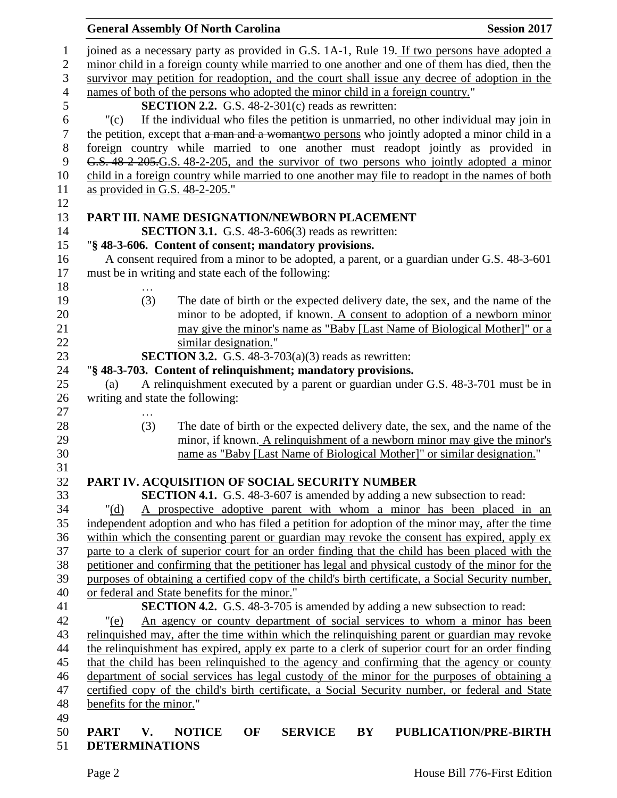|                |                                                                                                                                                                                                      | <b>General Assembly Of North Carolina</b>                                              |                |    | <b>Session 2017</b>                                                                              |  |  |
|----------------|------------------------------------------------------------------------------------------------------------------------------------------------------------------------------------------------------|----------------------------------------------------------------------------------------|----------------|----|--------------------------------------------------------------------------------------------------|--|--|
| $\mathbf{1}$   |                                                                                                                                                                                                      |                                                                                        |                |    |                                                                                                  |  |  |
| $\overline{2}$ | joined as a necessary party as provided in G.S. 1A-1, Rule 19. If two persons have adopted a<br>minor child in a foreign county while married to one another and one of them has died, then the      |                                                                                        |                |    |                                                                                                  |  |  |
| $\mathfrak{Z}$ | survivor may petition for readoption, and the court shall issue any decree of adoption in the                                                                                                        |                                                                                        |                |    |                                                                                                  |  |  |
| $\overline{4}$ | names of both of the persons who adopted the minor child in a foreign country."                                                                                                                      |                                                                                        |                |    |                                                                                                  |  |  |
| 5              | <b>SECTION 2.2.</b> G.S. $48-2-301(c)$ reads as rewritten:                                                                                                                                           |                                                                                        |                |    |                                                                                                  |  |  |
| 6              | "(c)                                                                                                                                                                                                 | If the individual who files the petition is unmarried, no other individual may join in |                |    |                                                                                                  |  |  |
| 7              | the petition, except that a man and a womantwo persons who jointly adopted a minor child in a                                                                                                        |                                                                                        |                |    |                                                                                                  |  |  |
| $8\,$          | foreign country while married to one another must readopt jointly as provided in                                                                                                                     |                                                                                        |                |    |                                                                                                  |  |  |
| 9              | G.S. 48 2 205.G.S. 48-2-205, and the survivor of two persons who jointly adopted a minor                                                                                                             |                                                                                        |                |    |                                                                                                  |  |  |
| 10             |                                                                                                                                                                                                      |                                                                                        |                |    | child in a foreign country while married to one another may file to readopt in the names of both |  |  |
| 11             | as provided in G.S. 48-2-205."                                                                                                                                                                       |                                                                                        |                |    |                                                                                                  |  |  |
| 12<br>13       |                                                                                                                                                                                                      | PART III. NAME DESIGNATION/NEWBORN PLACEMENT                                           |                |    |                                                                                                  |  |  |
| 14             |                                                                                                                                                                                                      | <b>SECTION 3.1.</b> G.S. $48-3-606(3)$ reads as rewritten:                             |                |    |                                                                                                  |  |  |
| 15             |                                                                                                                                                                                                      | "§ 48-3-606. Content of consent; mandatory provisions.                                 |                |    |                                                                                                  |  |  |
| 16             |                                                                                                                                                                                                      |                                                                                        |                |    | A consent required from a minor to be adopted, a parent, or a guardian under G.S. 48-3-601       |  |  |
| 17             |                                                                                                                                                                                                      | must be in writing and state each of the following:                                    |                |    |                                                                                                  |  |  |
| 18             | .                                                                                                                                                                                                    |                                                                                        |                |    |                                                                                                  |  |  |
| 19             | (3)                                                                                                                                                                                                  |                                                                                        |                |    | The date of birth or the expected delivery date, the sex, and the name of the                    |  |  |
| 20             |                                                                                                                                                                                                      |                                                                                        |                |    | minor to be adopted, if known. A consent to adoption of a newborn minor                          |  |  |
| 21             |                                                                                                                                                                                                      |                                                                                        |                |    | may give the minor's name as "Baby [Last Name of Biological Mother]" or a                        |  |  |
| 22             |                                                                                                                                                                                                      | similar designation."                                                                  |                |    |                                                                                                  |  |  |
| 23             |                                                                                                                                                                                                      | <b>SECTION 3.2.</b> G.S. 48-3-703(a)(3) reads as rewritten:                            |                |    |                                                                                                  |  |  |
| 24             |                                                                                                                                                                                                      | "§ 48-3-703. Content of relinquishment; mandatory provisions.                          |                |    |                                                                                                  |  |  |
| 25<br>26       | (a)<br>writing and state the following:                                                                                                                                                              |                                                                                        |                |    | A relinquishment executed by a parent or guardian under G.S. 48-3-701 must be in                 |  |  |
| 27             |                                                                                                                                                                                                      |                                                                                        |                |    |                                                                                                  |  |  |
| 28             | (3)                                                                                                                                                                                                  |                                                                                        |                |    | The date of birth or the expected delivery date, the sex, and the name of the                    |  |  |
| 29             |                                                                                                                                                                                                      |                                                                                        |                |    | minor, if known. A relinquishment of a newborn minor may give the minor's                        |  |  |
| 30             |                                                                                                                                                                                                      |                                                                                        |                |    | name as "Baby [Last Name of Biological Mother]" or similar designation."                         |  |  |
| 31             |                                                                                                                                                                                                      |                                                                                        |                |    |                                                                                                  |  |  |
| 32             |                                                                                                                                                                                                      | PART IV. ACQUISITION OF SOCIAL SECURITY NUMBER                                         |                |    |                                                                                                  |  |  |
| 33             |                                                                                                                                                                                                      |                                                                                        |                |    | <b>SECTION 4.1.</b> G.S. 48-3-607 is amended by adding a new subsection to read:                 |  |  |
| 34             | " $(d)$                                                                                                                                                                                              |                                                                                        |                |    | A prospective adoptive parent with whom a minor has been placed in an                            |  |  |
| 35<br>36       | independent adoption and who has filed a petition for adoption of the minor may, after the time                                                                                                      |                                                                                        |                |    |                                                                                                  |  |  |
| 37             | within which the consenting parent or guardian may revoke the consent has expired, apply ex                                                                                                          |                                                                                        |                |    |                                                                                                  |  |  |
| 38             | parte to a clerk of superior court for an order finding that the child has been placed with the<br>petitioner and confirming that the petitioner has legal and physical custody of the minor for the |                                                                                        |                |    |                                                                                                  |  |  |
| 39             | purposes of obtaining a certified copy of the child's birth certificate, a Social Security number,                                                                                                   |                                                                                        |                |    |                                                                                                  |  |  |
| 40             | or federal and State benefits for the minor."                                                                                                                                                        |                                                                                        |                |    |                                                                                                  |  |  |
| 41             | <b>SECTION 4.2.</b> G.S. 48-3-705 is amended by adding a new subsection to read:                                                                                                                     |                                                                                        |                |    |                                                                                                  |  |  |
| 42             | An agency or county department of social services to whom a minor has been<br>"(e)                                                                                                                   |                                                                                        |                |    |                                                                                                  |  |  |
| 43             | relinguished may, after the time within which the relinguishing parent or guardian may revoke                                                                                                        |                                                                                        |                |    |                                                                                                  |  |  |
| 44             | the relinquishment has expired, apply ex parte to a clerk of superior court for an order finding                                                                                                     |                                                                                        |                |    |                                                                                                  |  |  |
| 45             | that the child has been relinquished to the agency and confirming that the agency or county                                                                                                          |                                                                                        |                |    |                                                                                                  |  |  |
| 46             | department of social services has legal custody of the minor for the purposes of obtaining a                                                                                                         |                                                                                        |                |    |                                                                                                  |  |  |
| 47             | certified copy of the child's birth certificate, a Social Security number, or federal and State                                                                                                      |                                                                                        |                |    |                                                                                                  |  |  |
| 48             | benefits for the minor."                                                                                                                                                                             |                                                                                        |                |    |                                                                                                  |  |  |
| 49<br>50       | <b>PART</b><br>V.                                                                                                                                                                                    | <b>NOTICE</b><br>OF                                                                    | <b>SERVICE</b> | BY | PUBLICATION/PRE-BIRTH                                                                            |  |  |
| 51             | <b>DETERMINATIONS</b>                                                                                                                                                                                |                                                                                        |                |    |                                                                                                  |  |  |
|                |                                                                                                                                                                                                      |                                                                                        |                |    |                                                                                                  |  |  |